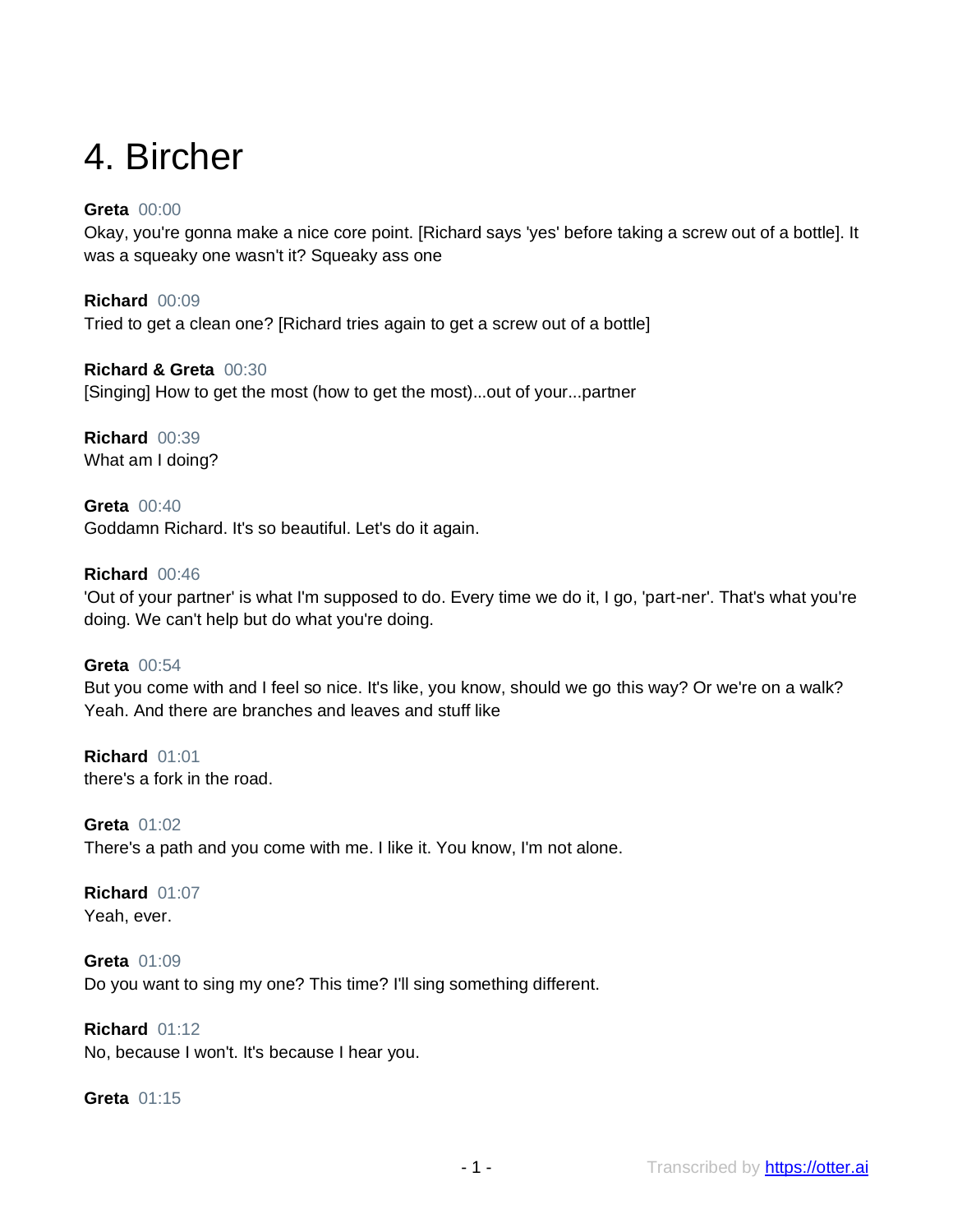# 4. Bircher

# **Greta** 00:00

Okay, you're gonna make a nice core point. [Richard says 'yes' before taking a screw out of a bottle]. It was a squeaky one wasn't it? Squeaky ass one

**Richard** 00:09 Tried to get a clean one? [Richard tries again to get a screw out of a bottle]

**Richard & Greta** 00:30 [Singing] How to get the most (how to get the most)...out of your...partner

**Richard** 00:39 What am I doing?

**Greta** 00:40 Goddamn Richard. It's so beautiful. Let's do it again.

## **Richard** 00:46

'Out of your partner' is what I'm supposed to do. Every time we do it, I go, 'part-ner'. That's what you're doing. We can't help but do what you're doing.

**Greta** 00:54 But you come with and I feel so nice. It's like, you know, should we go this way? Or we're on a walk? Yeah. And there are branches and leaves and stuff like

**Richard** 01:01 there's a fork in the road.

**Greta** 01:02 There's a path and you come with me. I like it. You know, I'm not alone.

#### **Richard** 01:07 Yeah, ever.

**Greta** 01:09 Do you want to sing my one? This time? I'll sing something different.

# **Richard** 01:12

No, because I won't. It's because I hear you.

**Greta** 01:15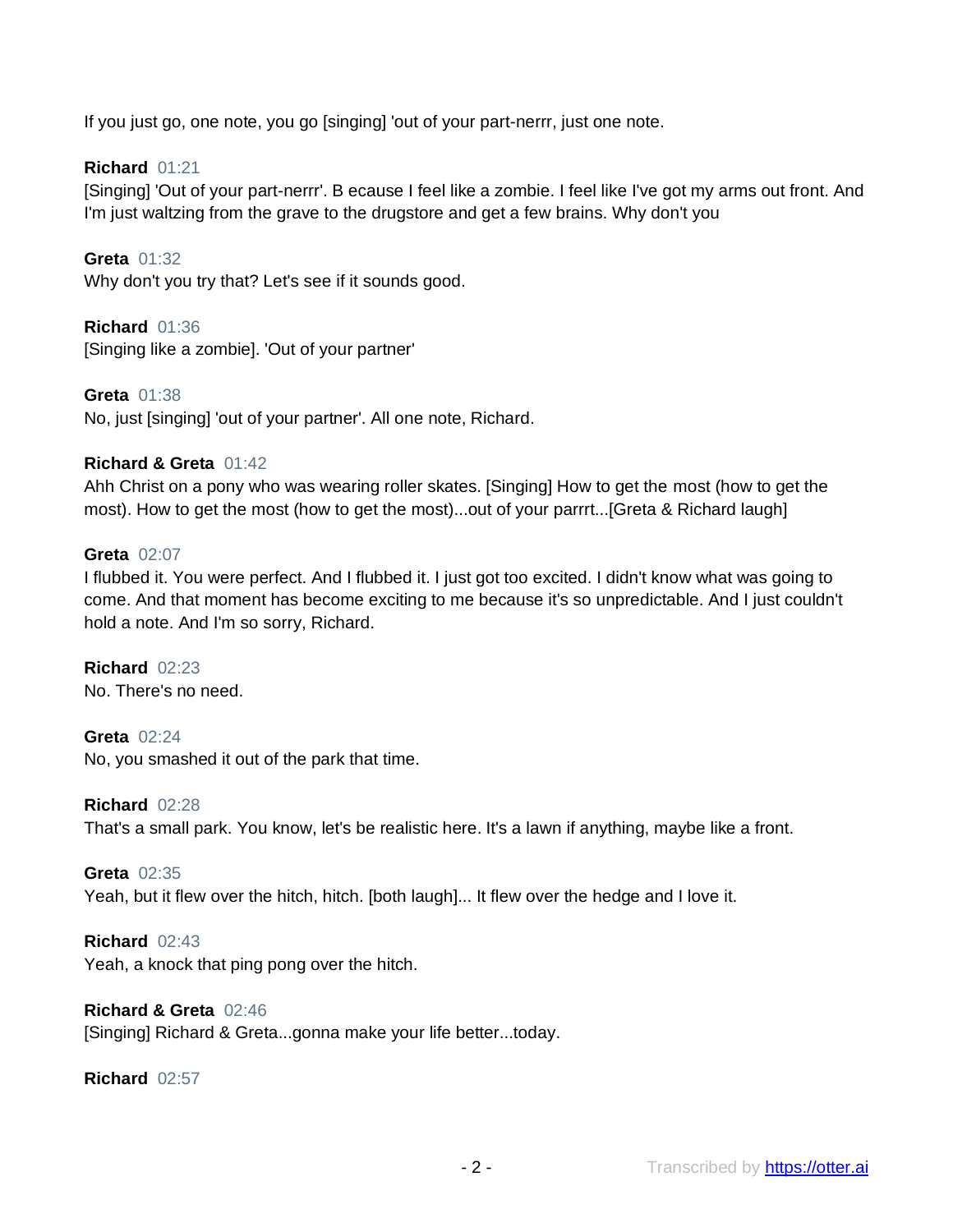If you just go, one note, you go [singing] 'out of your part-nerrr, just one note.

## **Richard** 01:21

[Singing] 'Out of your part-nerrr'. B ecause I feel like a zombie. I feel like I've got my arms out front. And I'm just waltzing from the grave to the drugstore and get a few brains. Why don't you

**Greta** 01:32 Why don't you try that? Let's see if it sounds good.

**Richard** 01:36 [Singing like a zombie]. 'Out of your partner'

**Greta** 01:38 No, just [singing] 'out of your partner'. All one note, Richard.

#### **Richard & Greta** 01:42

Ahh Christ on a pony who was wearing roller skates. [Singing] How to get the most (how to get the most). How to get the most (how to get the most)...out of your parrrt...[Greta & Richard laugh]

#### **Greta** 02:07

I flubbed it. You were perfect. And I flubbed it. I just got too excited. I didn't know what was going to come. And that moment has become exciting to me because it's so unpredictable. And I just couldn't hold a note. And I'm so sorry, Richard.

**Richard** 02:23 No. There's no need.

**Greta** 02:24 No, you smashed it out of the park that time.

**Richard** 02:28 That's a small park. You know, let's be realistic here. It's a lawn if anything, maybe like a front.

**Greta** 02:35 Yeah, but it flew over the hitch, hitch. [both laugh]... It flew over the hedge and I love it.

**Richard** 02:43 Yeah, a knock that ping pong over the hitch.

**Richard & Greta** 02:46 [Singing] Richard & Greta...gonna make your life better...today.

**Richard** 02:57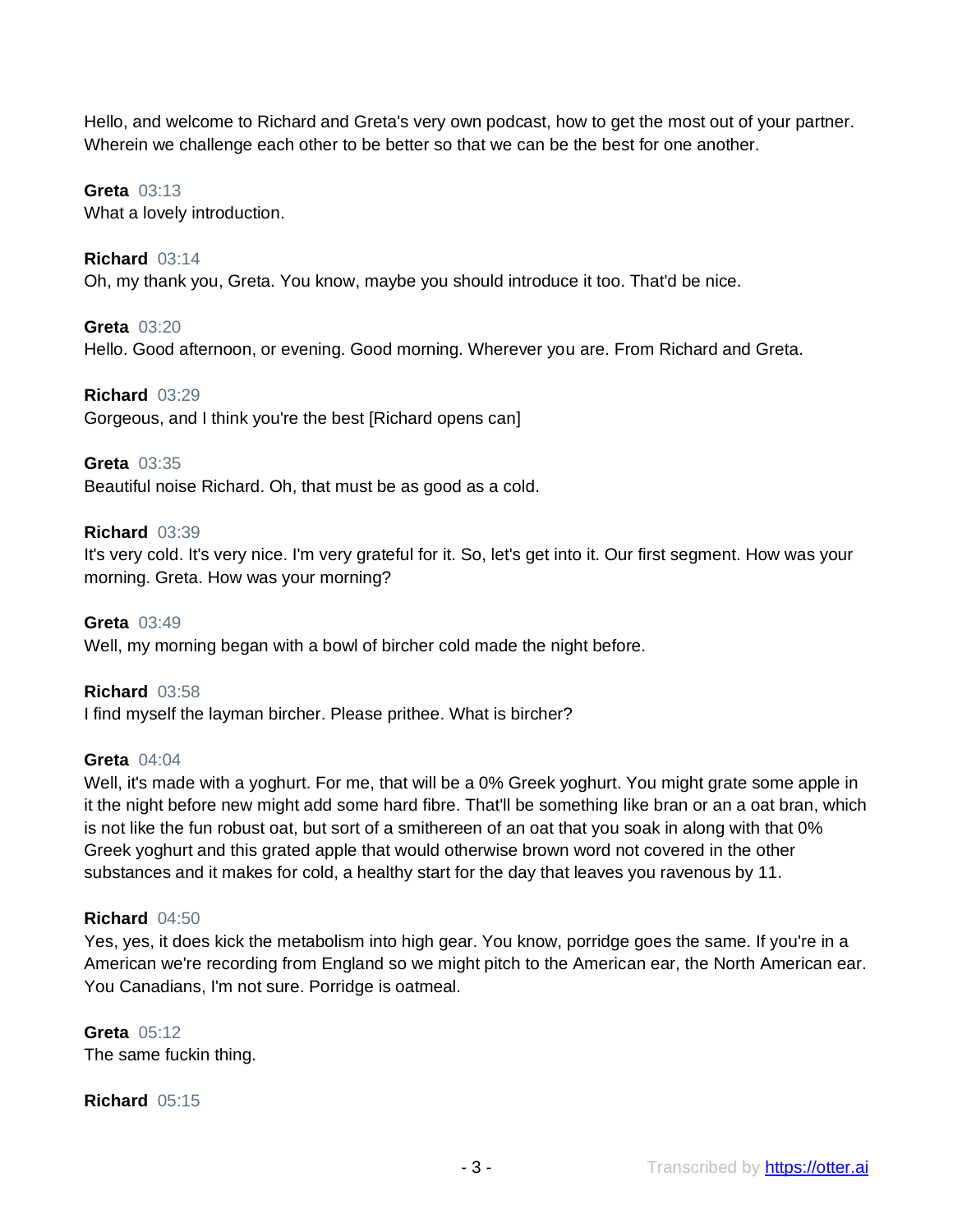Hello, and welcome to Richard and Greta's very own podcast, how to get the most out of your partner. Wherein we challenge each other to be better so that we can be the best for one another.

# **Greta** 03:13

What a lovely introduction.

## **Richard** 03:14

Oh, my thank you, Greta. You know, maybe you should introduce it too. That'd be nice.

## **Greta** 03:20

Hello. Good afternoon, or evening. Good morning. Wherever you are. From Richard and Greta.

## **Richard** 03:29

Gorgeous, and I think you're the best [Richard opens can]

## **Greta** 03:35

Beautiful noise Richard. Oh, that must be as good as a cold.

## **Richard** 03:39

It's very cold. It's very nice. I'm very grateful for it. So, let's get into it. Our first segment. How was your morning. Greta. How was your morning?

# **Greta** 03:49 Well, my morning began with a bowl of bircher cold made the night before.

# **Richard** 03:58

I find myself the layman bircher. Please prithee. What is bircher?

#### **Greta** 04:04

Well, it's made with a yoghurt. For me, that will be a 0% Greek yoghurt. You might grate some apple in it the night before new might add some hard fibre. That'll be something like bran or an a oat bran, which is not like the fun robust oat, but sort of a smithereen of an oat that you soak in along with that 0% Greek yoghurt and this grated apple that would otherwise brown word not covered in the other substances and it makes for cold, a healthy start for the day that leaves you ravenous by 11.

#### **Richard** 04:50

Yes, yes, it does kick the metabolism into high gear. You know, porridge goes the same. If you're in a American we're recording from England so we might pitch to the American ear, the North American ear. You Canadians, I'm not sure. Porridge is oatmeal.

## **Greta** 05:12 The same fuckin thing.

# **Richard** 05:15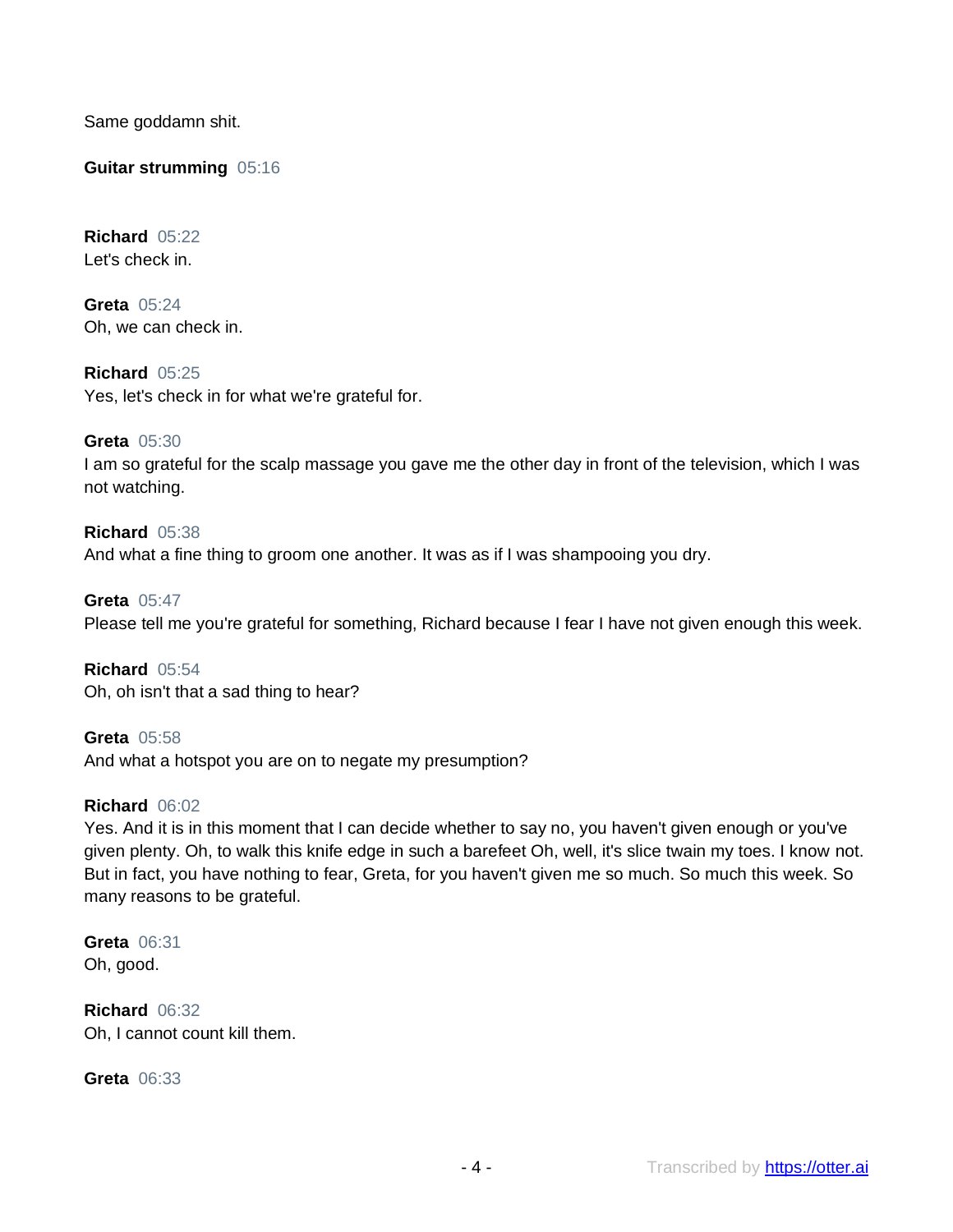Same goddamn shit.

**Guitar strumming** 05:16

**Richard** 05:22 Let's check in.

**Greta** 05:24 Oh, we can check in.

**Richard** 05:25 Yes, let's check in for what we're grateful for.

**Greta** 05:30 I am so grateful for the scalp massage you gave me the other day in front of the television, which I was not watching.

**Richard** 05:38 And what a fine thing to groom one another. It was as if I was shampooing you dry.

**Greta** 05:47 Please tell me you're grateful for something, Richard because I fear I have not given enough this week.

**Richard** 05:54 Oh, oh isn't that a sad thing to hear?

**Greta** 05:58 And what a hotspot you are on to negate my presumption?

## **Richard** 06:02

Yes. And it is in this moment that I can decide whether to say no, you haven't given enough or you've given plenty. Oh, to walk this knife edge in such a barefeet Oh, well, it's slice twain my toes. I know not. But in fact, you have nothing to fear, Greta, for you haven't given me so much. So much this week. So many reasons to be grateful.

**Greta** 06:31 Oh, good.

**Richard** 06:32 Oh, I cannot count kill them.

**Greta** 06:33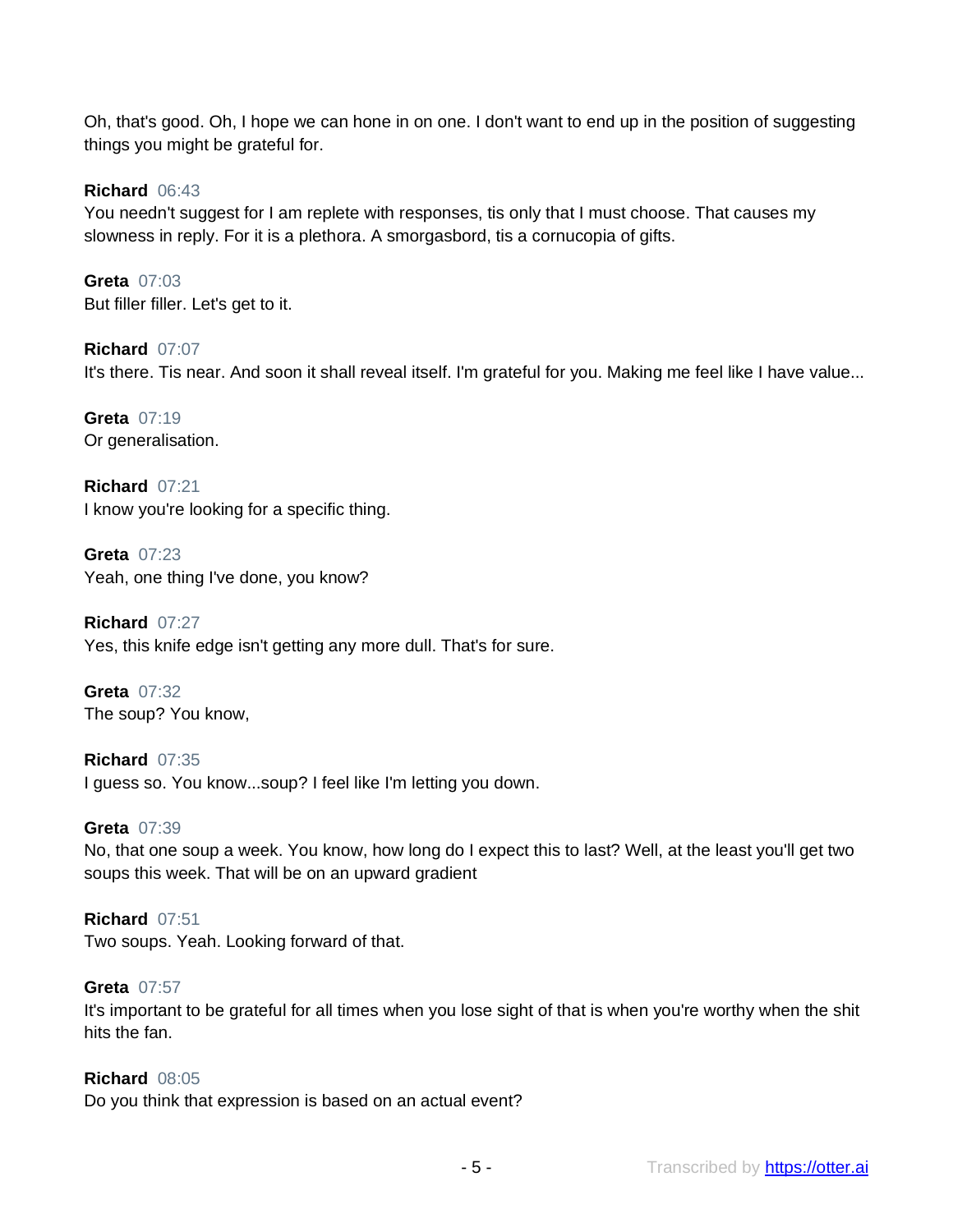Oh, that's good. Oh, I hope we can hone in on one. I don't want to end up in the position of suggesting things you might be grateful for.

**Richard** 06:43

You needn't suggest for I am replete with responses, tis only that I must choose. That causes my slowness in reply. For it is a plethora. A smorgasbord, tis a cornucopia of gifts.

**Greta** 07:03 But filler filler. Let's get to it.

**Richard** 07:07 It's there. Tis near. And soon it shall reveal itself. I'm grateful for you. Making me feel like I have value...

**Greta** 07:19 Or generalisation.

**Richard** 07:21 I know you're looking for a specific thing.

**Greta** 07:23 Yeah, one thing I've done, you know?

**Richard** 07:27 Yes, this knife edge isn't getting any more dull. That's for sure.

**Greta** 07:32 The soup? You know,

**Richard** 07:35 I guess so. You know...soup? I feel like I'm letting you down.

#### **Greta** 07:39

No, that one soup a week. You know, how long do I expect this to last? Well, at the least you'll get two soups this week. That will be on an upward gradient

#### **Richard** 07:51

Two soups. Yeah. Looking forward of that.

#### **Greta** 07:57

It's important to be grateful for all times when you lose sight of that is when you're worthy when the shit hits the fan.

#### **Richard** 08:05

Do you think that expression is based on an actual event?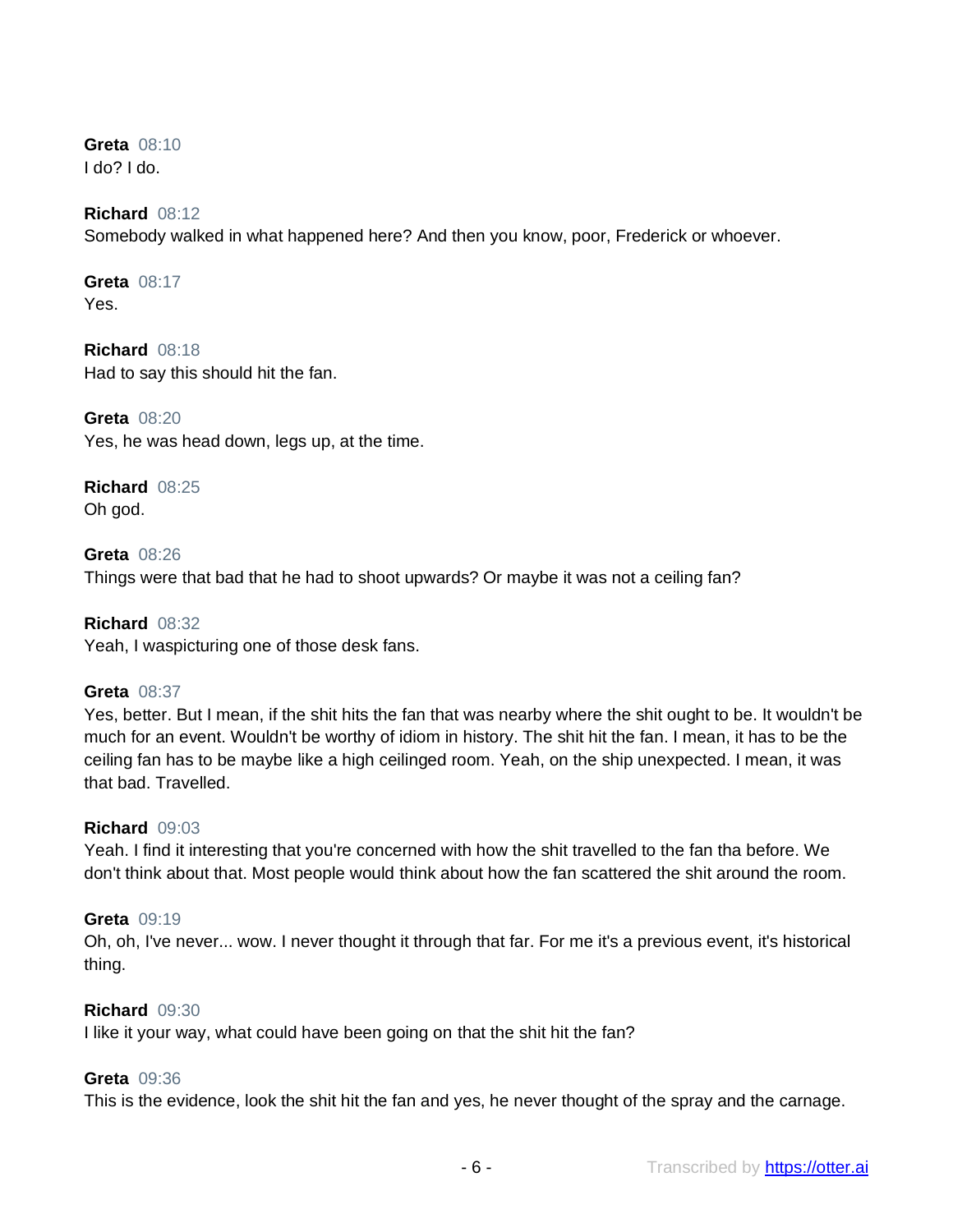**Greta** 08:10 I do? I do.

## **Richard** 08:12

Somebody walked in what happened here? And then you know, poor, Frederick or whoever.

**Greta** 08:17 Yes.

**Richard** 08:18 Had to say this should hit the fan.

**Greta** 08:20 Yes, he was head down, legs up, at the time.

**Richard** 08:25 Oh god.

**Greta** 08:26 Things were that bad that he had to shoot upwards? Or maybe it was not a ceiling fan?

**Richard** 08:32 Yeah, I waspicturing one of those desk fans.

#### **Greta** 08:37

Yes, better. But I mean, if the shit hits the fan that was nearby where the shit ought to be. It wouldn't be much for an event. Wouldn't be worthy of idiom in history. The shit hit the fan. I mean, it has to be the ceiling fan has to be maybe like a high ceilinged room. Yeah, on the ship unexpected. I mean, it was that bad. Travelled.

#### **Richard** 09:03

Yeah. I find it interesting that you're concerned with how the shit travelled to the fan tha before. We don't think about that. Most people would think about how the fan scattered the shit around the room.

#### **Greta** 09:19

Oh, oh, I've never... wow. I never thought it through that far. For me it's a previous event, it's historical thing.

#### **Richard** 09:30

I like it your way, what could have been going on that the shit hit the fan?

#### **Greta** 09:36

This is the evidence, look the shit hit the fan and yes, he never thought of the spray and the carnage.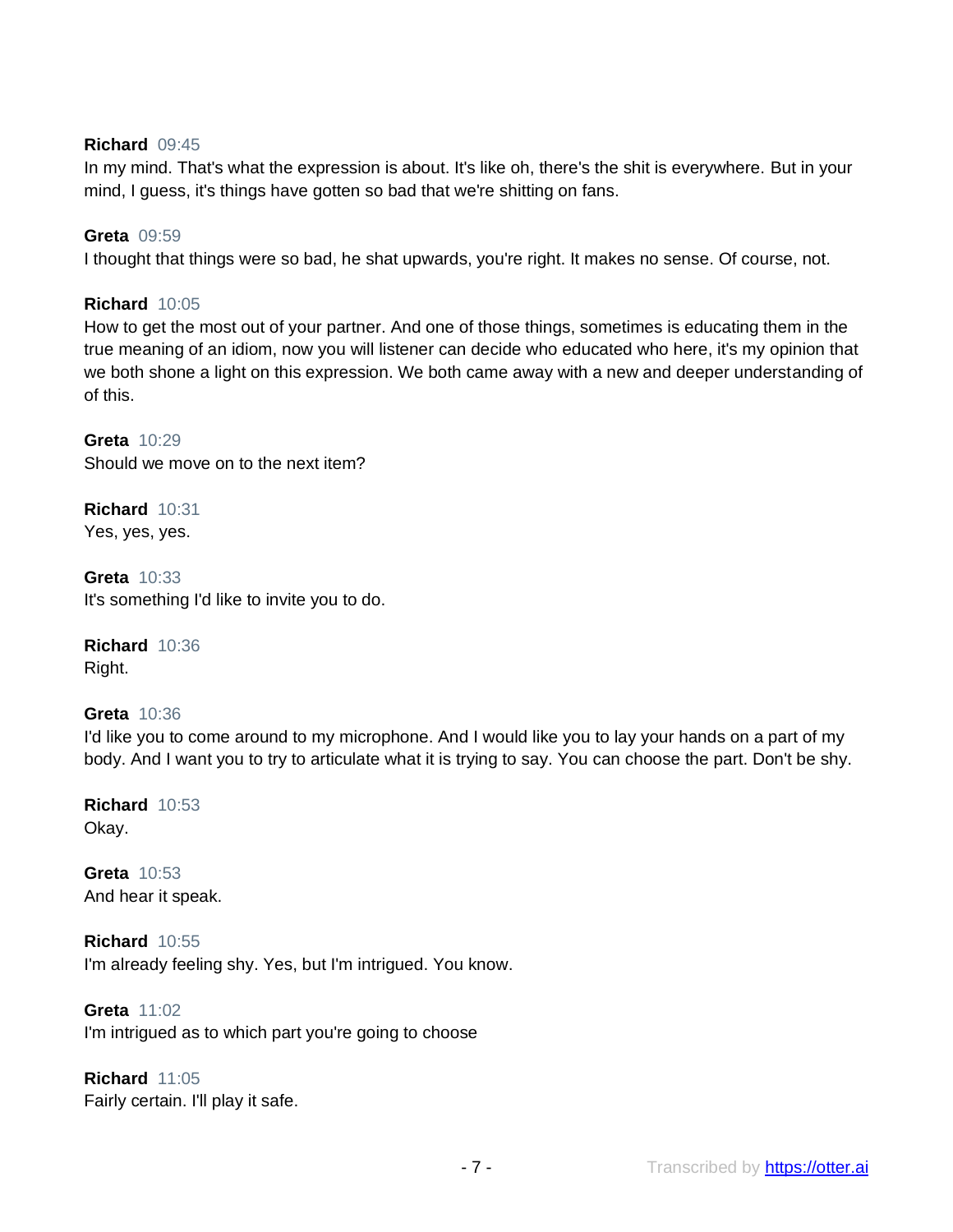## **Richard** 09:45

In my mind. That's what the expression is about. It's like oh, there's the shit is everywhere. But in your mind, I guess, it's things have gotten so bad that we're shitting on fans.

## **Greta** 09:59

I thought that things were so bad, he shat upwards, you're right. It makes no sense. Of course, not.

## **Richard** 10:05

How to get the most out of your partner. And one of those things, sometimes is educating them in the true meaning of an idiom, now you will listener can decide who educated who here, it's my opinion that we both shone a light on this expression. We both came away with a new and deeper understanding of of this.

**Greta** 10:29 Should we move on to the next item?

**Richard** 10:31 Yes, yes, yes.

**Greta** 10:33 It's something I'd like to invite you to do.

**Richard** 10:36 Right.

**Greta** 10:36 I'd like you to come around to my microphone. And I would like you to lay your hands on a part of my body. And I want you to try to articulate what it is trying to say. You can choose the part. Don't be shy.

**Richard** 10:53 Okay.

**Greta** 10:53 And hear it speak.

**Richard** 10:55 I'm already feeling shy. Yes, but I'm intrigued. You know.

**Greta** 11:02 I'm intrigued as to which part you're going to choose

**Richard** 11:05 Fairly certain. I'll play it safe.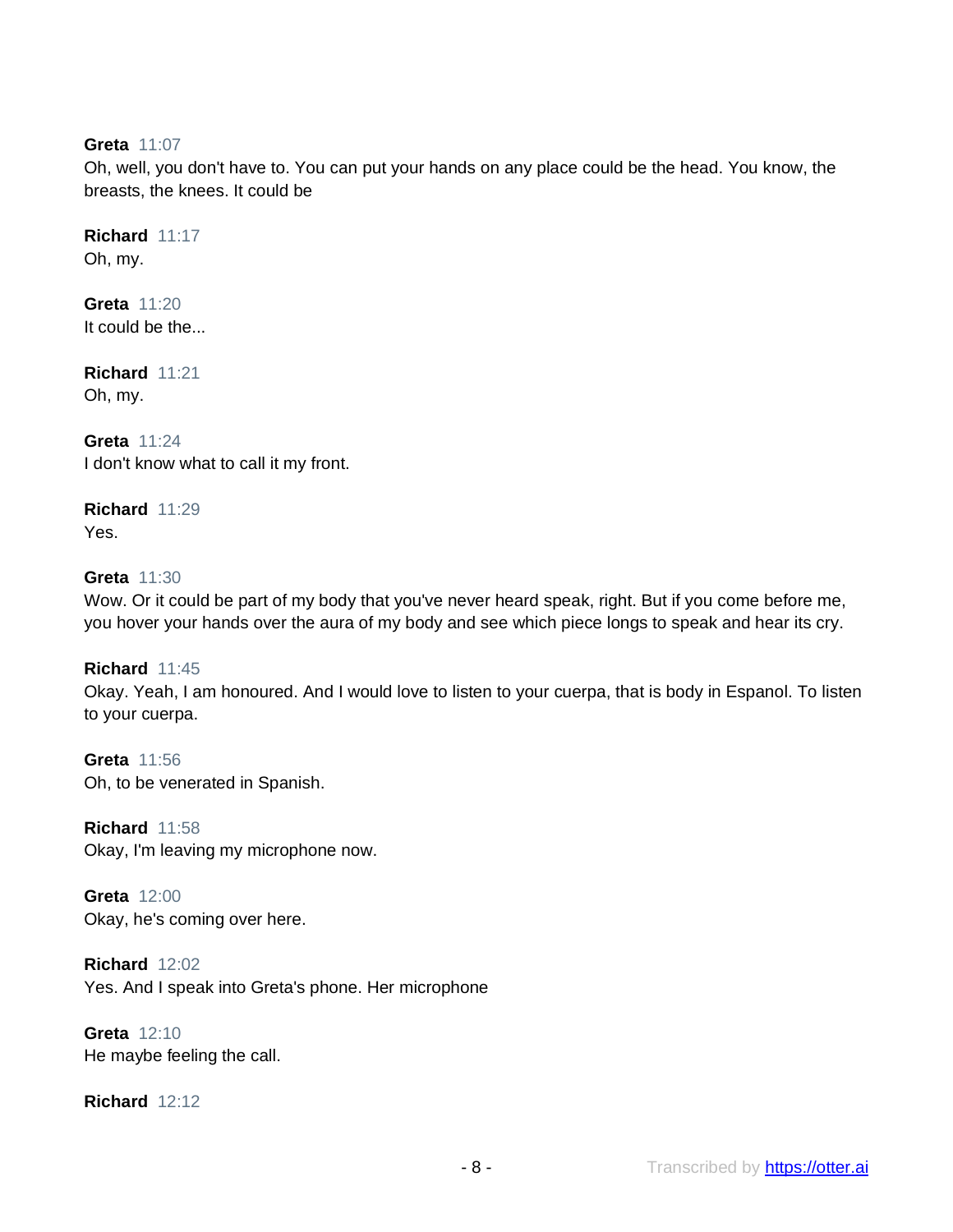## **Greta** 11:07

Oh, well, you don't have to. You can put your hands on any place could be the head. You know, the breasts, the knees. It could be

**Richard** 11:17 Oh, my.

**Greta** 11:20 It could be the...

**Richard** 11:21 Oh, my.

**Greta** 11:24 I don't know what to call it my front.

**Richard** 11:29 Yes.

#### **Greta** 11:30

Wow. Or it could be part of my body that you've never heard speak, right. But if you come before me, you hover your hands over the aura of my body and see which piece longs to speak and hear its cry.

**Richard** 11:45

Okay. Yeah, I am honoured. And I would love to listen to your cuerpa, that is body in Espanol. To listen to your cuerpa.

**Greta** 11:56 Oh, to be venerated in Spanish.

**Richard** 11:58 Okay, I'm leaving my microphone now.

**Greta** 12:00 Okay, he's coming over here.

**Richard** 12:02 Yes. And I speak into Greta's phone. Her microphone

**Greta** 12:10 He maybe feeling the call.

**Richard** 12:12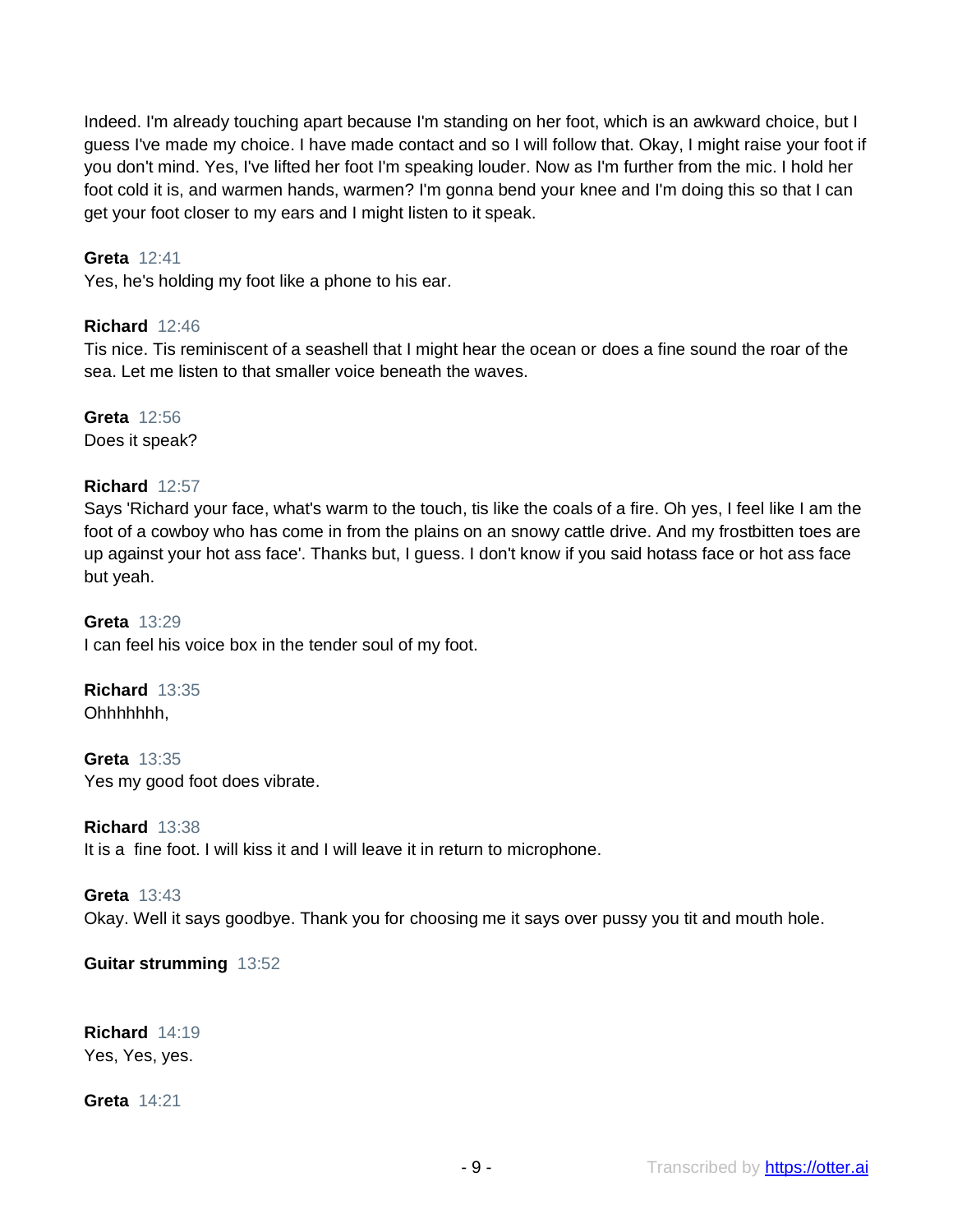Indeed. I'm already touching apart because I'm standing on her foot, which is an awkward choice, but I guess I've made my choice. I have made contact and so I will follow that. Okay, I might raise your foot if you don't mind. Yes, I've lifted her foot I'm speaking louder. Now as I'm further from the mic. I hold her foot cold it is, and warmen hands, warmen? I'm gonna bend your knee and I'm doing this so that I can get your foot closer to my ears and I might listen to it speak.

#### **Greta** 12:41

Yes, he's holding my foot like a phone to his ear.

#### **Richard** 12:46

Tis nice. Tis reminiscent of a seashell that I might hear the ocean or does a fine sound the roar of the sea. Let me listen to that smaller voice beneath the waves.

**Greta** 12:56 Does it speak?

#### **Richard** 12:57

Says 'Richard your face, what's warm to the touch, tis like the coals of a fire. Oh yes, I feel like I am the foot of a cowboy who has come in from the plains on an snowy cattle drive. And my frostbitten toes are up against your hot ass face'. Thanks but, I guess. I don't know if you said hotass face or hot ass face but yeah.

**Greta** 13:29 I can feel his voice box in the tender soul of my foot.

**Richard** 13:35 Ohhhhhhh,

**Greta** 13:35 Yes my good foot does vibrate.

**Richard** 13:38

It is a fine foot. I will kiss it and I will leave it in return to microphone.

#### **Greta** 13:43

Okay. Well it says goodbye. Thank you for choosing me it says over pussy you tit and mouth hole.

**Guitar strumming** 13:52

**Richard** 14:19 Yes, Yes, yes.

**Greta** 14:21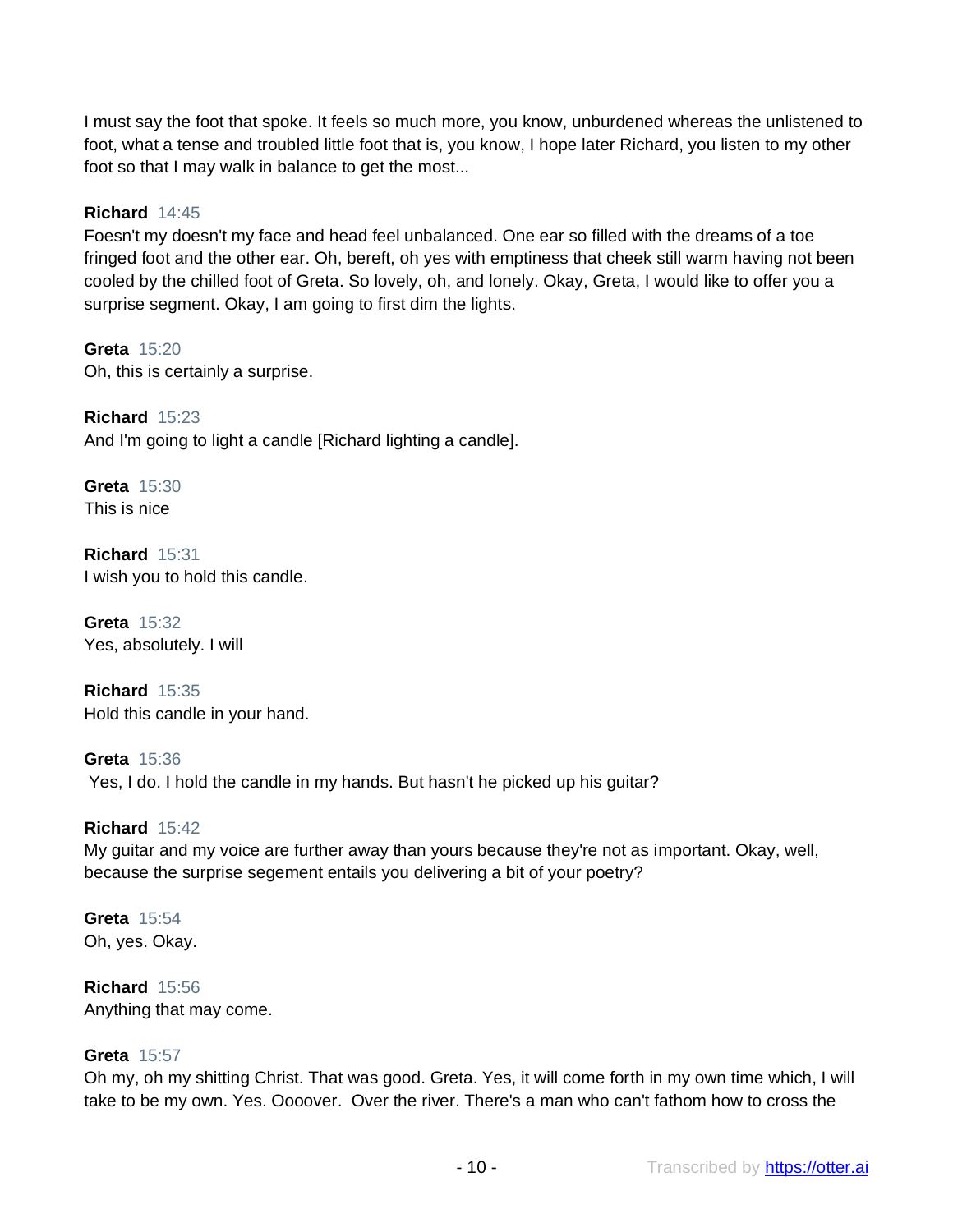I must say the foot that spoke. It feels so much more, you know, unburdened whereas the unlistened to foot, what a tense and troubled little foot that is, you know, I hope later Richard, you listen to my other foot so that I may walk in balance to get the most...

## **Richard** 14:45

Foesn't my doesn't my face and head feel unbalanced. One ear so filled with the dreams of a toe fringed foot and the other ear. Oh, bereft, oh yes with emptiness that cheek still warm having not been cooled by the chilled foot of Greta. So lovely, oh, and lonely. Okay, Greta, I would like to offer you a surprise segment. Okay, I am going to first dim the lights.

**Greta** 15:20 Oh, this is certainly a surprise.

**Richard** 15:23 And I'm going to light a candle [Richard lighting a candle].

**Greta** 15:30 This is nice

**Richard** 15:31 I wish you to hold this candle.

**Greta** 15:32 Yes, absolutely. I will

**Richard** 15:35 Hold this candle in your hand.

**Greta** 15:36 Yes, I do. I hold the candle in my hands. But hasn't he picked up his guitar?

**Richard** 15:42 My guitar and my voice are further away than yours because they're not as important. Okay, well, because the surprise segement entails you delivering a bit of your poetry?

**Greta** 15:54 Oh, yes. Okay.

**Richard** 15:56 Anything that may come.

#### **Greta** 15:57

Oh my, oh my shitting Christ. That was good. Greta. Yes, it will come forth in my own time which, I will take to be my own. Yes. Oooover. Over the river. There's a man who can't fathom how to cross the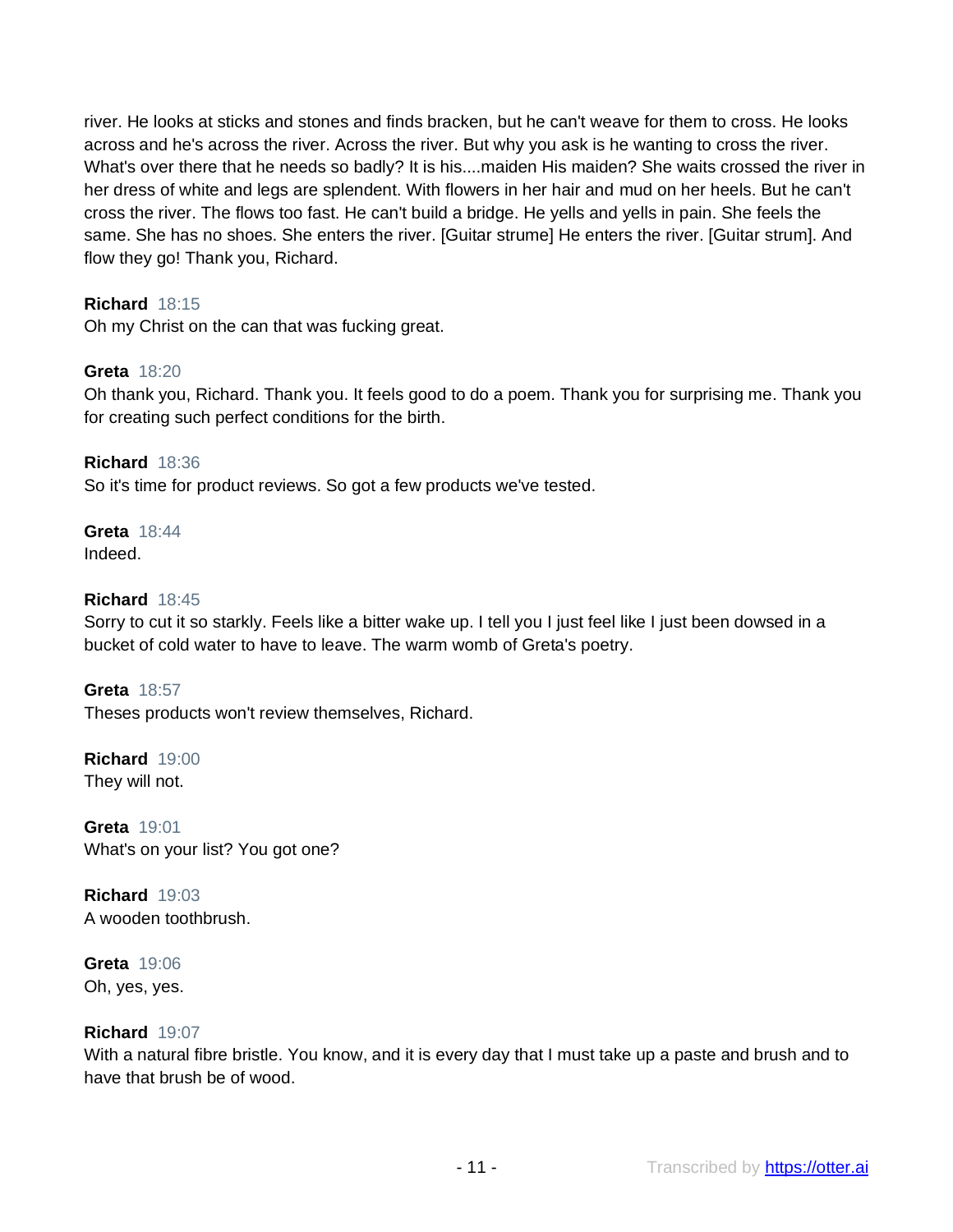river. He looks at sticks and stones and finds bracken, but he can't weave for them to cross. He looks across and he's across the river. Across the river. But why you ask is he wanting to cross the river. What's over there that he needs so badly? It is his....maiden His maiden? She waits crossed the river in her dress of white and legs are splendent. With flowers in her hair and mud on her heels. But he can't cross the river. The flows too fast. He can't build a bridge. He yells and yells in pain. She feels the same. She has no shoes. She enters the river. [Guitar strume] He enters the river. [Guitar strum]. And flow they go! Thank you, Richard.

# **Richard** 18:15

Oh my Christ on the can that was fucking great.

## **Greta** 18:20

Oh thank you, Richard. Thank you. It feels good to do a poem. Thank you for surprising me. Thank you for creating such perfect conditions for the birth.

**Richard** 18:36 So it's time for product reviews. So got a few products we've tested.

## **Greta** 18:44 Indeed.

## **Richard** 18:45

Sorry to cut it so starkly. Feels like a bitter wake up. I tell you I just feel like I just been dowsed in a bucket of cold water to have to leave. The warm womb of Greta's poetry.

**Greta** 18:57 Theses products won't review themselves, Richard.

**Richard** 19:00 They will not.

**Greta** 19:01 What's on your list? You got one?

**Richard** 19:03 A wooden toothbrush.

**Greta** 19:06 Oh, yes, yes.

#### **Richard** 19:07

With a natural fibre bristle. You know, and it is every day that I must take up a paste and brush and to have that brush be of wood.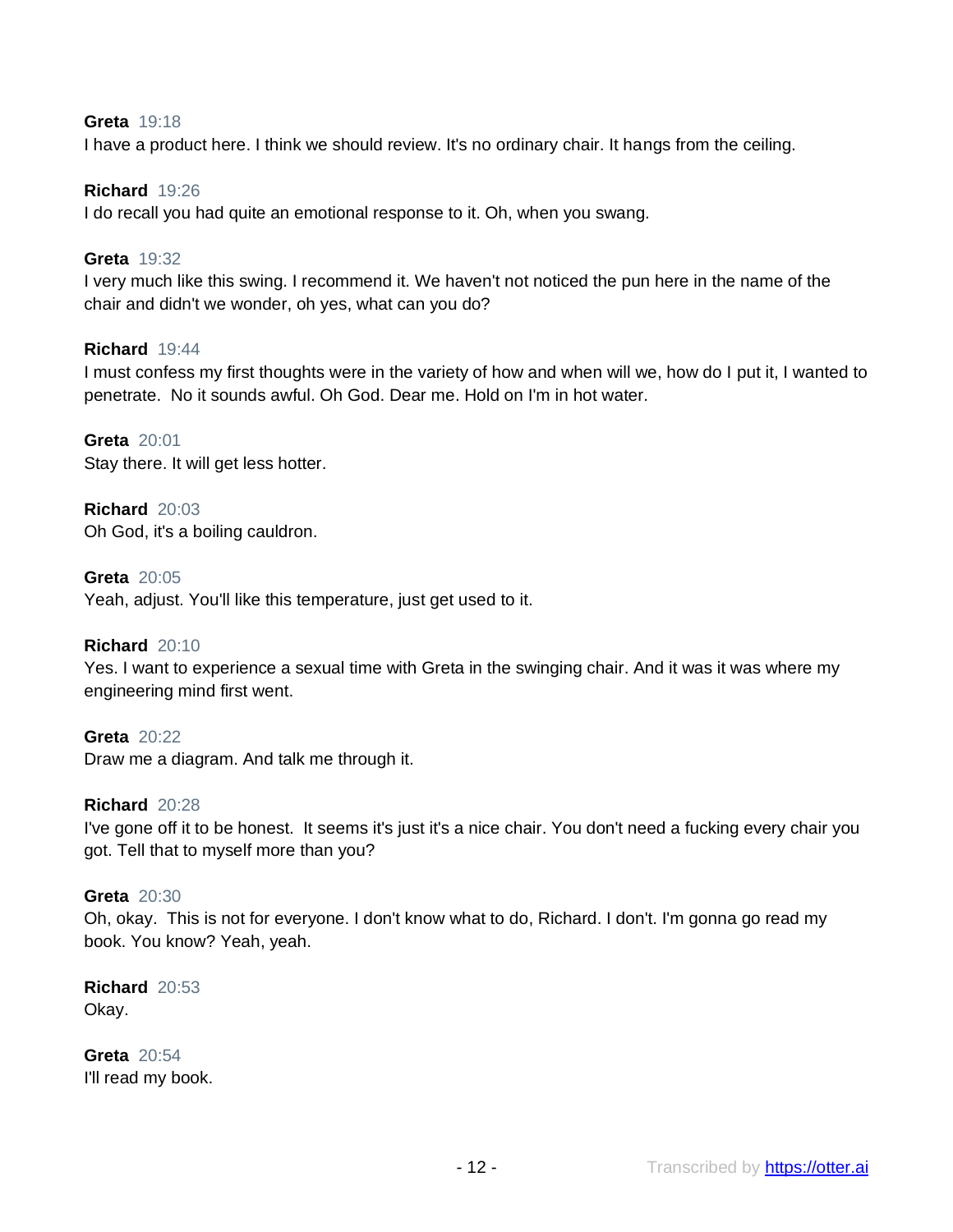## **Greta** 19:18

I have a product here. I think we should review. It's no ordinary chair. It hangs from the ceiling.

#### **Richard** 19:26

I do recall you had quite an emotional response to it. Oh, when you swang.

#### **Greta** 19:32

I very much like this swing. I recommend it. We haven't not noticed the pun here in the name of the chair and didn't we wonder, oh yes, what can you do?

#### **Richard** 19:44

I must confess my first thoughts were in the variety of how and when will we, how do I put it, I wanted to penetrate. No it sounds awful. Oh God. Dear me. Hold on I'm in hot water.

**Greta** 20:01 Stay there. It will get less hotter.

**Richard** 20:03 Oh God, it's a boiling cauldron.

**Greta** 20:05 Yeah, adjust. You'll like this temperature, just get used to it.

#### **Richard** 20:10

Yes. I want to experience a sexual time with Greta in the swinging chair. And it was it was where my engineering mind first went.

**Greta** 20:22 Draw me a diagram. And talk me through it.

## **Richard** 20:28

I've gone off it to be honest. It seems it's just it's a nice chair. You don't need a fucking every chair you got. Tell that to myself more than you?

#### **Greta** 20:30

Oh, okay. This is not for everyone. I don't know what to do, Richard. I don't. I'm gonna go read my book. You know? Yeah, yeah.

**Richard** 20:53 Okay.

**Greta** 20:54 I'll read my book.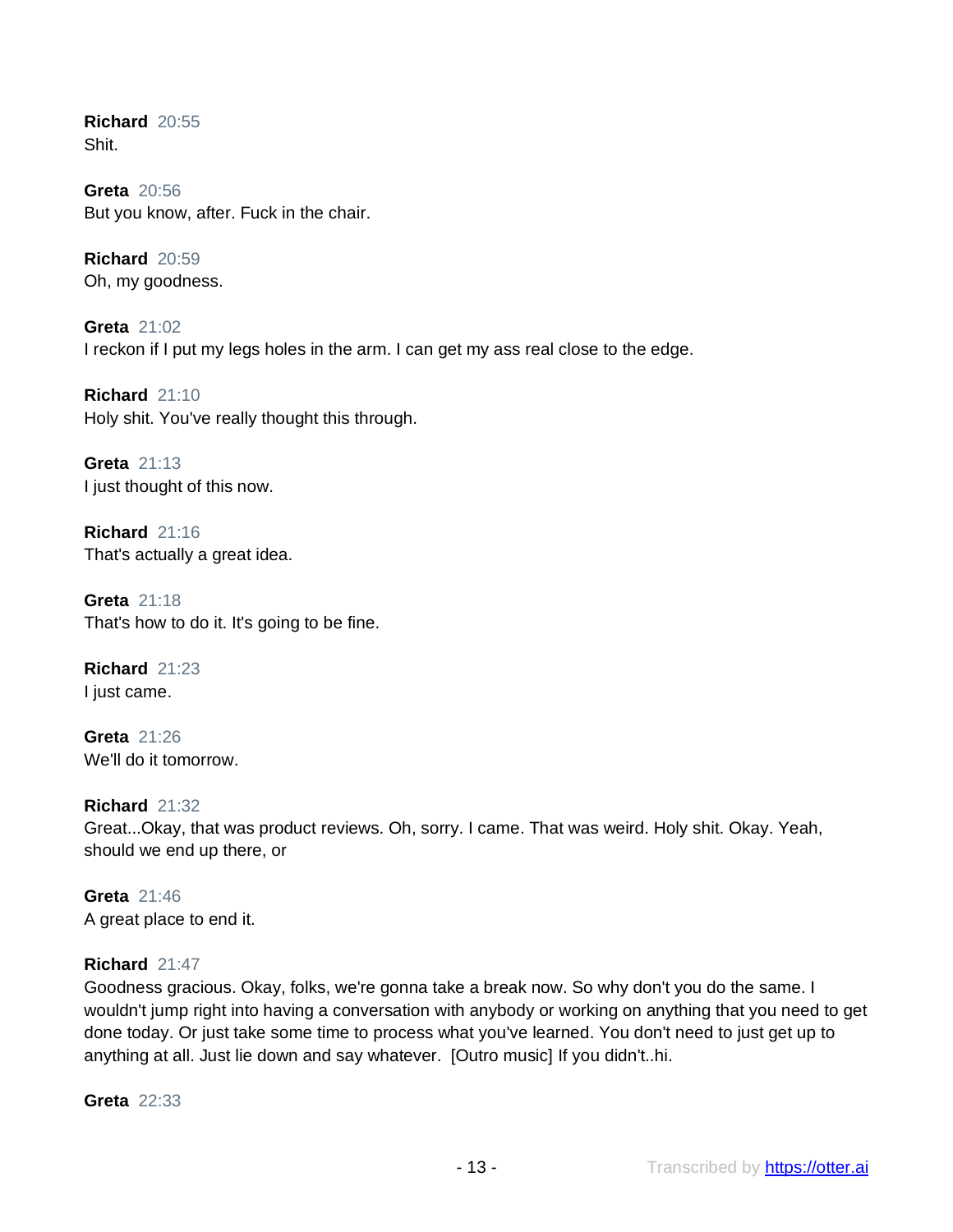**Richard** 20:55 Shit.

**Greta** 20:56 But you know, after. Fuck in the chair.

**Richard** 20:59 Oh, my goodness.

**Greta** 21:02 I reckon if I put my legs holes in the arm. I can get my ass real close to the edge.

**Richard** 21:10 Holy shit. You've really thought this through.

**Greta** 21:13 I just thought of this now.

**Richard** 21:16 That's actually a great idea.

**Greta** 21:18 That's how to do it. It's going to be fine.

**Richard** 21:23 I just came.

**Greta** 21:26 We'll do it tomorrow.

**Richard** 21:32 Great...Okay, that was product reviews. Oh, sorry. I came. That was weird. Holy shit. Okay. Yeah, should we end up there, or

**Greta** 21:46 A great place to end it.

#### **Richard** 21:47

Goodness gracious. Okay, folks, we're gonna take a break now. So why don't you do the same. I wouldn't jump right into having a conversation with anybody or working on anything that you need to get done today. Or just take some time to process what you've learned. You don't need to just get up to anything at all. Just lie down and say whatever. [Outro music] If you didn't..hi.

**Greta** 22:33